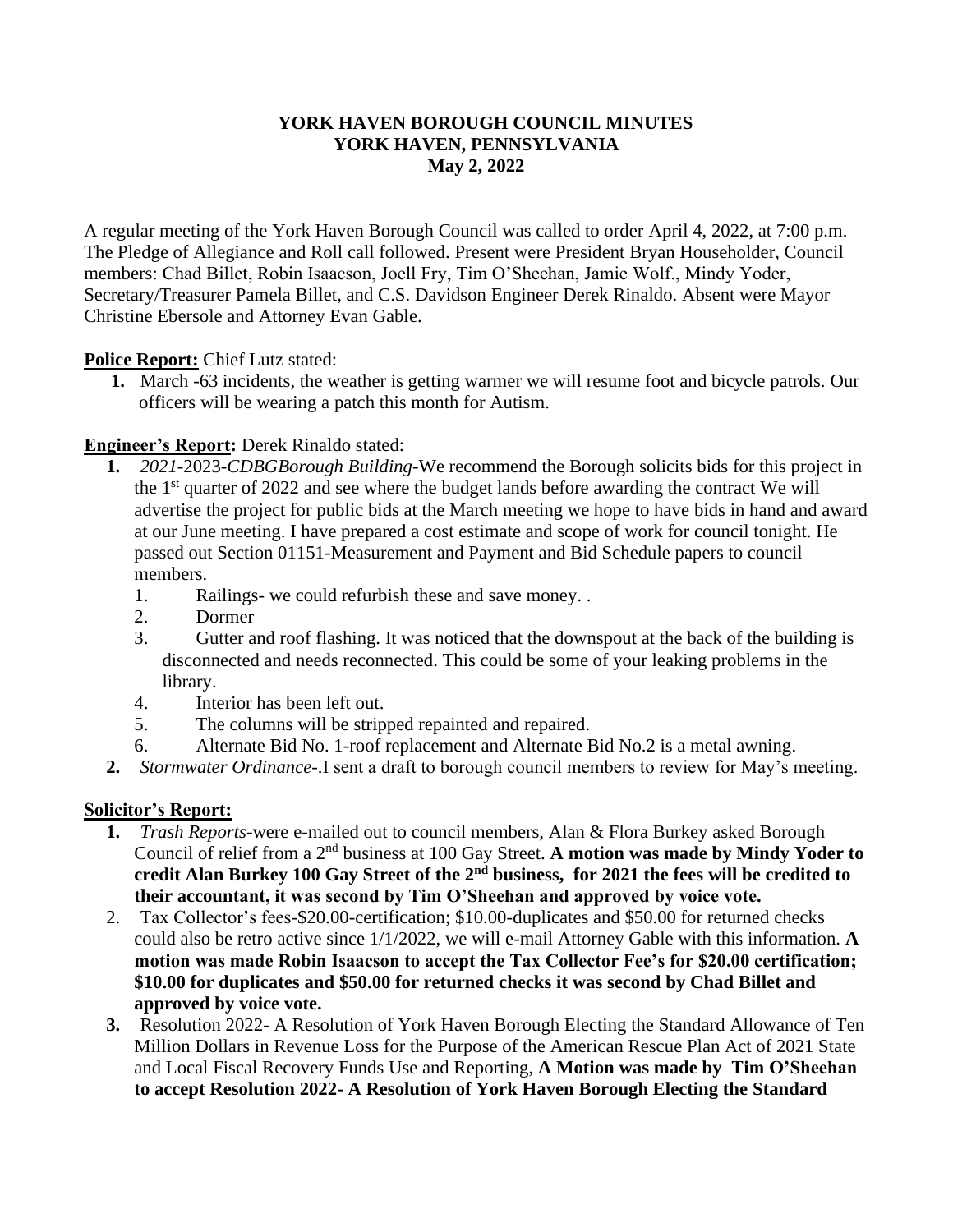#### **YORK HAVEN BOROUGH COUNCIL MINUTES YORK HAVEN, PENNSYLVANIA May 2, 2022**

A regular meeting of the York Haven Borough Council was called to order April 4, 2022, at 7:00 p.m. The Pledge of Allegiance and Roll call followed. Present were President Bryan Householder, Council members: Chad Billet, Robin Isaacson, Joell Fry, Tim O'Sheehan, Jamie Wolf., Mindy Yoder, Secretary/Treasurer Pamela Billet, and C.S. Davidson Engineer Derek Rinaldo. Absent were Mayor Christine Ebersole and Attorney Evan Gable.

### **Police Report:** Chief Lutz stated:

**1.** March -63 incidents, the weather is getting warmer we will resume foot and bicycle patrols. Our officers will be wearing a patch this month for Autism.

### **Engineer's Report:** Derek Rinaldo stated:

- **1.** *2021-*2023-*CDBGBorough Building-*We recommend the Borough solicits bids for this project in the 1<sup>st</sup> quarter of 2022 and see where the budget lands before awarding the contract We will advertise the project for public bids at the March meeting we hope to have bids in hand and award at our June meeting. I have prepared a cost estimate and scope of work for council tonight. He passed out Section 01151-Measurement and Payment and Bid Schedule papers to council members.
	- 1. Railings- we could refurbish these and save money. .
	- 2. Dormer
	- 3. Gutter and roof flashing. It was noticed that the downspout at the back of the building is disconnected and needs reconnected. This could be some of your leaking problems in the library.
	- 4. Interior has been left out.
	- 5. The columns will be stripped repainted and repaired.
	- 6. Alternate Bid No. 1-roof replacement and Alternate Bid No.2 is a metal awning.
- **2.** *Stormwater Ordinance-*.I sent a draft to borough council members to review for May's meeting.

### **Solicitor's Report:**

- **1.** *Trash Reports-*were e-mailed out to council members, Alan & Flora Burkey asked Borough Council of relief from a 2nd business at 100 Gay Street. **A motion was made by Mindy Yoder to credit Alan Burkey 100 Gay Street of the 2nd business, for 2021 the fees will be credited to their accountant, it was second by Tim O'Sheehan and approved by voice vote.**
- 2. Tax Collector's fees-\$20.00-certification; \$10.00-duplicates and \$50.00 for returned checks could also be retro active since 1/1/2022, we will e-mail Attorney Gable with this information. **A motion was made Robin Isaacson to accept the Tax Collector Fee's for \$20.00 certification; \$10.00 for duplicates and \$50.00 for returned checks it was second by Chad Billet and approved by voice vote.**
- **3.** Resolution 2022- A Resolution of York Haven Borough Electing the Standard Allowance of Ten Million Dollars in Revenue Loss for the Purpose of the American Rescue Plan Act of 2021 State and Local Fiscal Recovery Funds Use and Reporting, **A Motion was made by Tim O'Sheehan to accept Resolution 2022- A Resolution of York Haven Borough Electing the Standard**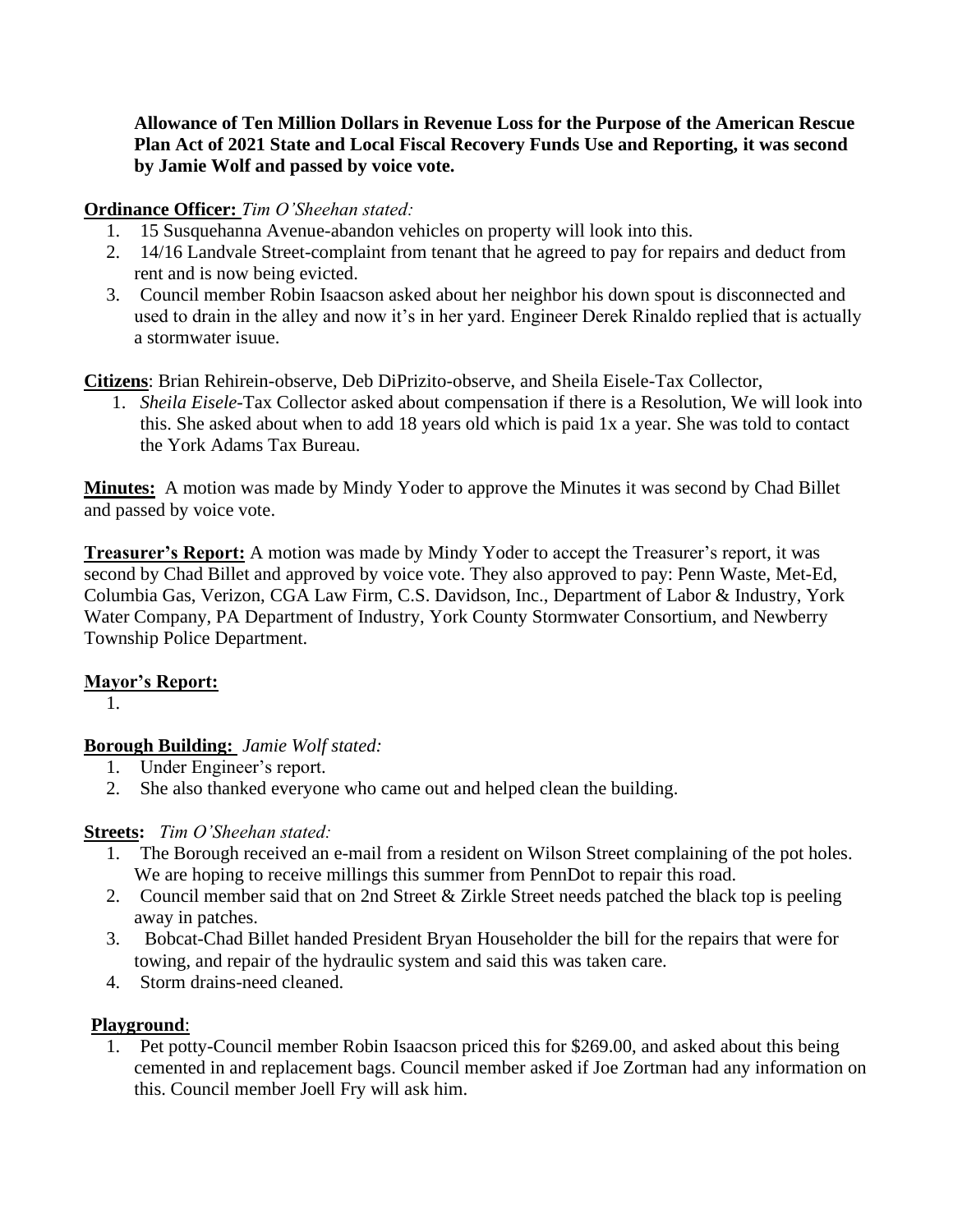**Allowance of Ten Million Dollars in Revenue Loss for the Purpose of the American Rescue Plan Act of 2021 State and Local Fiscal Recovery Funds Use and Reporting, it was second by Jamie Wolf and passed by voice vote.**

### **Ordinance Officer:** *Tim O'Sheehan stated:*

- 1. 15 Susquehanna Avenue-abandon vehicles on property will look into this.
- 2. 14/16 Landvale Street-complaint from tenant that he agreed to pay for repairs and deduct from rent and is now being evicted.
- 3. Council member Robin Isaacson asked about her neighbor his down spout is disconnected and used to drain in the alley and now it's in her yard. Engineer Derek Rinaldo replied that is actually a stormwater isuue.

**Citizens**: Brian Rehirein-observe, Deb DiPrizito-observe, and Sheila Eisele-Tax Collector,

1. *Sheila Eisele-*Tax Collector asked about compensation if there is a Resolution, We will look into this. She asked about when to add 18 years old which is paid 1x a year. She was told to contact the York Adams Tax Bureau.

**Minutes:** A motion was made by Mindy Yoder to approve the Minutes it was second by Chad Billet and passed by voice vote.

**Treasurer's Report:** A motion was made by Mindy Yoder to accept the Treasurer's report, it was second by Chad Billet and approved by voice vote. They also approved to pay: Penn Waste, Met-Ed, Columbia Gas, Verizon, CGA Law Firm, C.S. Davidson, Inc., Department of Labor & Industry, York Water Company, PA Department of Industry, York County Stormwater Consortium, and Newberry Township Police Department.

### **Mayor's Report:**

1.

# **Borough Building:** *Jamie Wolf stated:*

- 1. Under Engineer's report.
- 2. She also thanked everyone who came out and helped clean the building.

# **Streets:** *Tim O'Sheehan stated:*

- 1. The Borough received an e-mail from a resident on Wilson Street complaining of the pot holes. We are hoping to receive millings this summer from PennDot to repair this road.
- 2. Council member said that on 2nd Street & Zirkle Street needs patched the black top is peeling away in patches.
- 3. Bobcat-Chad Billet handed President Bryan Householder the bill for the repairs that were for towing, and repair of the hydraulic system and said this was taken care.
- 4. Storm drains-need cleaned.

# **Playground**:

1. Pet potty-Council member Robin Isaacson priced this for \$269.00, and asked about this being cemented in and replacement bags. Council member asked if Joe Zortman had any information on this. Council member Joell Fry will ask him.